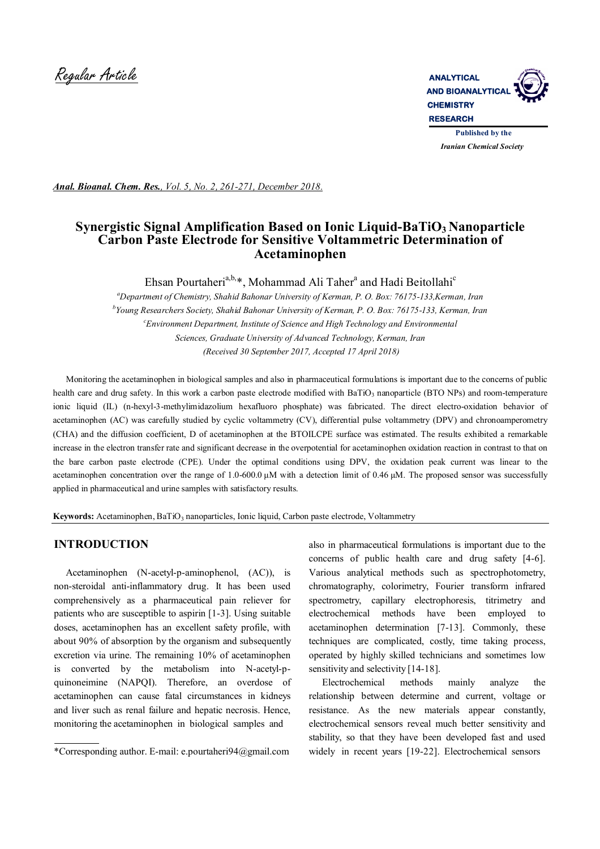

*Anal. Bioanal. Chem. Res., Vol. 5, No. 2, 261-271, December 2018.*

# **Synergistic Signal Amplification Based on Ionic Liquid-BaTiO3 Nanoparticle Carbon Paste Electrode for Sensitive Voltammetric Determination of Acetaminophen**

Ehsan Pourtaheri<sup>a,b,\*</sup>, Mohammad Ali Taher<sup>a</sup> and Hadi Beitollahi<sup>c</sup>

*<sup>a</sup>Department of Chemistry, Shahid Bahonar University of Kerman, P. O. Box: 76175-133,Kerman, Iran b Young Researchers Society, Shahid Bahonar University of Kerman, P. O. Box: 76175-133, Kerman, Iran <sup>c</sup>Environment Department, Institute of Science and High Technology and Environmental Sciences, Graduate University of Advanced Technology, Kerman, Iran (Received 30 September 2017, Accepted 17 April 2018)*

 Monitoring the acetaminophen in biological samples and also in pharmaceutical formulations is important due to the concerns of public health care and drug safety. In this work a carbon paste electrode modified with BaTiO<sub>3</sub> nanoparticle (BTO NPs) and room-temperature ionic liquid (IL) (n-hexyl-3-methylimidazolium hexafluoro phosphate) was fabricated. The direct electro-oxidation behavior of acetaminophen (AC) was carefully studied by cyclic voltammetry (CV), differential pulse voltammetry (DPV) and chronoamperometry (CHA) and the diffusion coefficient, D of acetaminophen at the BTOILCPE surface was estimated. The results exhibited a remarkable increase in the electron transfer rate and significant decrease in the overpotential for acetaminophen oxidation reaction in contrast to that on the bare carbon paste electrode (CPE). Under the optimal conditions using DPV, the oxidation peak current was linear to the acetaminophen concentration over the range of 1.0-600.0 μM with a detection limit of 0.46 μM. The proposed sensor was successfully applied in pharmaceutical and urine samples with satisfactory results.

**Keywords:** Acetaminophen, BaTiO<sub>3</sub> nanoparticles, Ionic liquid, Carbon paste electrode, Voltammetry

### **INTRODUCTION**

 Acetaminophen (N-acetyl-p-aminophenol, (AC)), is non-steroidal anti-inflammatory drug. It has been used comprehensively as a pharmaceutical pain reliever for patients who are susceptible to aspirin [1-3]. Using suitable doses, acetaminophen has an excellent safety profile, with about 90% of absorption by the organism and subsequently excretion via urine. The remaining 10% of acetaminophen is converted by the metabolism into N-acetyl-pquinoneimine (NAPQI). Therefore, an overdose of acetaminophen can cause fatal circumstances in kidneys and liver such as renal failure and hepatic necrosis. Hence, monitoring the acetaminophen in biological samples and

also in pharmaceutical formulations is important due to the concerns of public health care and drug safety [4-6]. Various analytical methods such as spectrophotometry, chromatography, colorimetry, Fourier transform infrared spectrometry, capillary electrophoresis, titrimetry and electrochemical methods have been employed to acetaminophen determination [7-13]. Commonly, these techniques are complicated, costly, time taking process, operated by highly skilled technicians and sometimes low sensitivity and selectivity [14-18].

Electrochemical methods mainly analyze the relationship between determine and current, voltage or resistance. As the new materials appear constantly, electrochemical sensors reveal much better sensitivity and stability, so that they have been developed fast and used widely in recent years [19-22]. Electrochemical sensors

<sup>\*</sup>Corresponding author. E-mail: e.pourtaheri94@gmail.com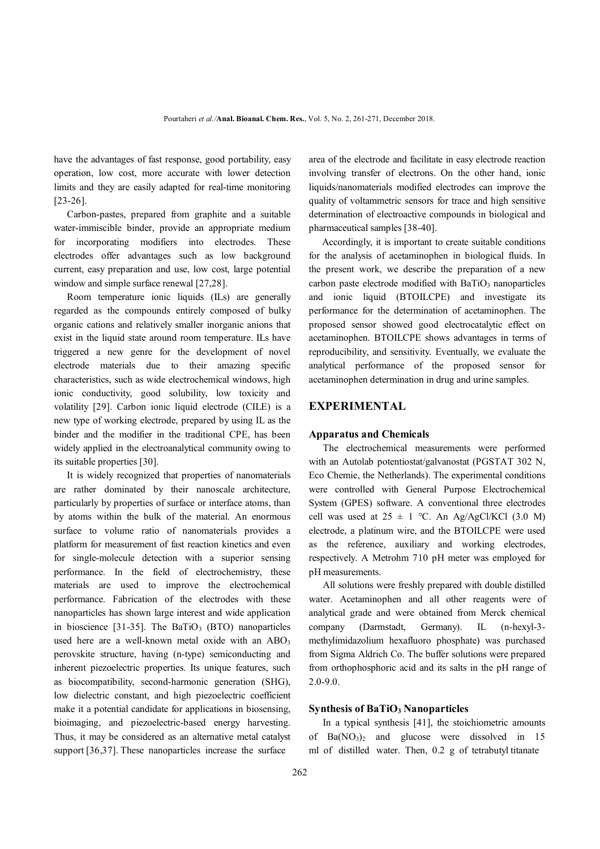have the advantages of fast response, good portability, easy operation, low cost, more accurate with lower detection limits and they are easily adapted for real-time monitoring [23-26].

Carbon-pastes, prepared from graphite and a suitable water-immiscible binder, provide an appropriate medium for incorporating modifiers into electrodes. These electrodes offer advantages such as low background current, easy preparation and use, low cost, large potential window and simple surface renewal [27,28].

Room temperature ionic liquids (ILs) are generally regarded as the compounds entirely composed of bulky organic cations and relatively smaller inorganic anions that exist in the liquid state around room temperature. ILs have triggered a new genre for the development of novel electrode materials due to their amazing specific characteristics, such as wide electrochemical windows, high ionic conductivity, good solubility, low toxicity and volatility [29]. Carbon ionic liquid electrode (CILE) is a new type of working electrode, prepared by using IL as the binder and the modifier in the traditional CPE, has been widely applied in the electroanalytical community owing to its suitable properties [30].

It is widely recognized that properties of nanomaterials are rather dominated by their nanoscale architecture, particularly by properties of surface or interface atoms, than by atoms within the bulk of the material. An enormous surface to volume ratio of nanomaterials provides a platform for measurement of fast reaction kinetics and even for single-molecule detection with a superior sensing performance. In the field of electrochemistry, these materials are used to improve the electrochemical performance. Fabrication of the electrodes with these nanoparticles has shown large interest and wide application in bioscience [31-35]. The BaTiO<sub>3</sub> (BTO) nanoparticles used here are a well-known metal oxide with an  $ABO<sub>3</sub>$ perovskite structure, having (n-type) semiconducting and inherent piezoelectric properties. Its unique features, such as biocompatibility, second-harmonic generation (SHG), low dielectric constant, and high piezoelectric coefficient make it a potential candidate for applications in biosensing, bioimaging, and piezoelectric-based energy harvesting. Thus, it may be considered as an alternative metal catalyst support [36,37]. These nanoparticles increase the surface

area of the electrode and facilitate in easy electrode reaction involving transfer of electrons. On the other hand, ionic liquids/nanomaterials modified electrodes can improve the quality of voltammetric sensors for trace and high sensitive determination of electroactive compounds in biological and pharmaceutical samples [38-40].

Accordingly, it is important to create suitable conditions for the analysis of acetaminophen in biological fluids. In the present work, we describe the preparation of a new carbon paste electrode modified with  $BaTiO<sub>3</sub>$  nanoparticles and ionic liquid (BTOILCPE) and investigate its performance for the determination of acetaminophen. The proposed sensor showed good electrocatalytic effect on acetaminophen. BTOILCPE shows advantages in terms of reproducibility, and sensitivity. Eventually, we evaluate the analytical performance of the proposed sensor for acetaminophen determination in drug and urine samples.

### **EXPERIMENTAL**

### **Apparatus and Chemicals**

 The electrochemical measurements were performed with an Autolab potentiostat/galvanostat (PGSTAT 302 N, Eco Chemie, the Netherlands). The experimental conditions were controlled with General Purpose Electrochemical System (GPES) software. A conventional three electrodes cell was used at  $25 \pm 1$  °C. An Ag/AgCl/KCl (3.0 M) electrode, a platinum wire, and the BTOILCPE were used as the reference, auxiliary and working electrodes, respectively. A Metrohm 710 pH meter was employed for pH measurements.

 All solutions were freshly prepared with double distilled water. Acetaminophen and all other reagents were of analytical grade and were obtained from Merck chemical company (Darmstadt, Germany). IL (n-hexyl-3 methylimidazolium hexafluoro phosphate) was purchased from Sigma Aldrich Co. The buffer solutions were prepared from orthophosphoric acid and its salts in the pH range of 2.0-9.0.

#### **Synthesis of BaTiO<sup>3</sup> Nanoparticles**

 In a typical synthesis [41], the stoichiometric amounts of  $Ba(NO<sub>3</sub>)<sub>2</sub>$  and glucose were dissolved in 15 ml of distilled water. Then, 0.2 g of tetrabutyl titanate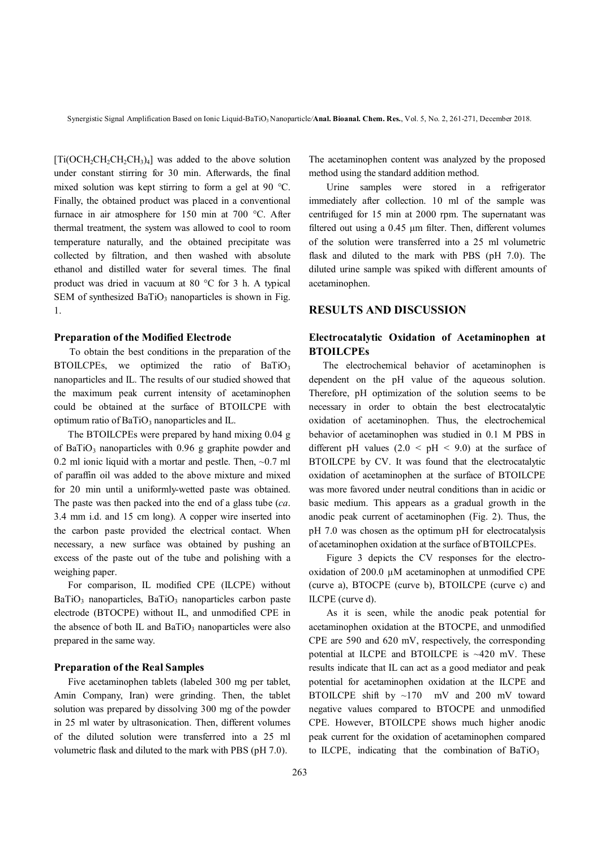$[Ti(OCH<sub>2</sub>CH<sub>2</sub>CH<sub>2</sub>CH<sub>3</sub>)<sub>4</sub>]$  was added to the above solution under constant stirring for 30 min. Afterwards, the final mixed solution was kept stirring to form a gel at 90 °C. Finally, the obtained product was placed in a conventional furnace in air atmosphere for 150 min at 700 °C. After thermal treatment, the system was allowed to cool to room temperature naturally, and the obtained precipitate was collected by filtration, and then washed with absolute ethanol and distilled water for several times. The final product was dried in vacuum at 80 °C for 3 h. A typical SEM of synthesized  $BaTiO<sub>3</sub>$  nanoparticles is shown in Fig. 1.

### **Preparation of the Modified Electrode**

To obtain the best conditions in the preparation of the BTOILCPEs, we optimized the ratio of  $BaTiO<sub>3</sub>$ nanoparticles and IL. The results of our studied showed that the maximum peak current intensity of acetaminophen could be obtained at the surface of BTOILCPE with optimum ratio of  $BaTiO<sub>3</sub>$  nanoparticles and IL.

 The BTOILCPEs were prepared by hand mixing 0.04 g of BaTiO<sub>3</sub> nanoparticles with  $0.96$  g graphite powder and 0.2 ml ionic liquid with a mortar and pestle. Then,  $\sim$ 0.7 ml of paraffin oil was added to the above mixture and mixed for 20 min until a uniformly-wetted paste was obtained. The paste was then packed into the end of a glass tube (*ca*. 3.4 mm i.d. and 15 cm long). A copper wire inserted into the carbon paste provided the electrical contact. When necessary, a new surface was obtained by pushing an excess of the paste out of the tube and polishing with a weighing paper.

 For comparison, IL modified CPE (ILCPE) without  $BaTiO<sub>3</sub>$  nanoparticles,  $BaTiO<sub>3</sub>$  nanoparticles carbon paste electrode (BTOCPE) without IL, and unmodified CPE in the absence of both IL and BaTiO<sub>3</sub> nanoparticles were also prepared in the same way.

#### **Preparation of the Real Samples**

 Five acetaminophen tablets (labeled 300 mg per tablet, Amin Company, Iran) were grinding. Then, the tablet solution was prepared by dissolving 300 mg of the powder in 25 ml water by ultrasonication. Then, different volumes of the diluted solution were transferred into a 25 ml volumetric flask and diluted to the mark with PBS (pH 7.0).

The acetaminophen content was analyzed by the proposed method using the standard addition method.

Urine samples were stored in a refrigerator immediately after collection. 10 ml of the sample was centrifuged for 15 min at 2000 rpm. The supernatant was filtered out using a 0.45 μm filter. Then, different volumes of the solution were transferred into a 25 ml volumetric flask and diluted to the mark with PBS (pH 7.0). The diluted urine sample was spiked with different amounts of acetaminophen.

### **RESULTS AND DISCUSSION**

## **Electrocatalytic Oxidation of Acetaminophen at BTOILCPEs**

 The electrochemical behavior of acetaminophen is dependent on the pH value of the aqueous solution. Therefore, pH optimization of the solution seems to be necessary in order to obtain the best electrocatalytic oxidation of acetaminophen. Thus, the electrochemical behavior of acetaminophen was studied in 0.1 M PBS in different pH values  $(2.0 \leq pH \leq 9.0)$  at the surface of BTOILCPE by CV. It was found that the electrocatalytic oxidation of acetaminophen at the surface of BTOILCPE was more favored under neutral conditions than in acidic or basic medium. This appears as a gradual growth in the anodic peak current of acetaminophen (Fig. 2). Thus, the pH 7.0 was chosen as the optimum pH for electrocatalysis of acetaminophen oxidation at the surface of BTOILCPEs.

Figure 3 depicts the CV responses for the electrooxidation of 200.0 µM acetaminophen at unmodified CPE (curve a), BTOCPE (curve b), BTOILCPE (curve c) and ILCPE (curve d).

As it is seen, while the anodic peak potential for acetaminophen oxidation at the BTOCPE, and unmodified CPE are 590 and 620 mV, respectively, the corresponding potential at ILCPE and BTOILCPE is ~420 mV. These results indicate that IL can act as a good mediator and peak potential for acetaminophen oxidation at the ILCPE and BTOILCPE shift by ~170 mV and 200 mV toward negative values compared to BTOCPE and unmodified CPE. However, BTOILCPE shows much higher anodic peak current for the oxidation of acetaminophen compared to ILCPE, indicating that the combination of  $BaTiO<sub>3</sub>$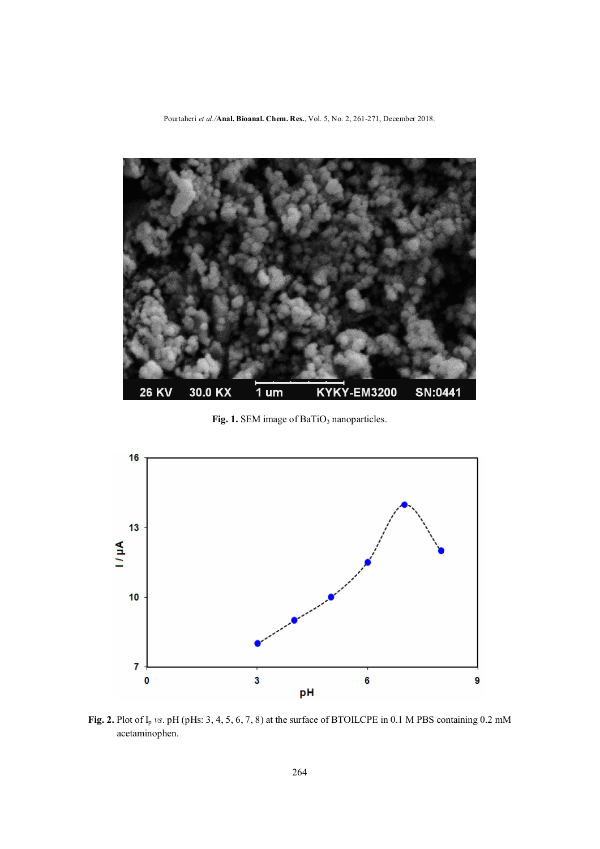Pourtaheri *et al./***Anal. Bioanal. Chem. Res.**, Vol. 5, No. 2, 261-271, December 2018.



Fig. 1. SEM image of BaTiO<sub>3</sub> nanoparticles.



Fig. 2. Plot of I<sub>p</sub> *vs*. pH (pHs: 3, 4, 5, 6, 7, 8) at the surface of BTOILCPE in 0.1 M PBS containing 0.2 mM acetaminophen.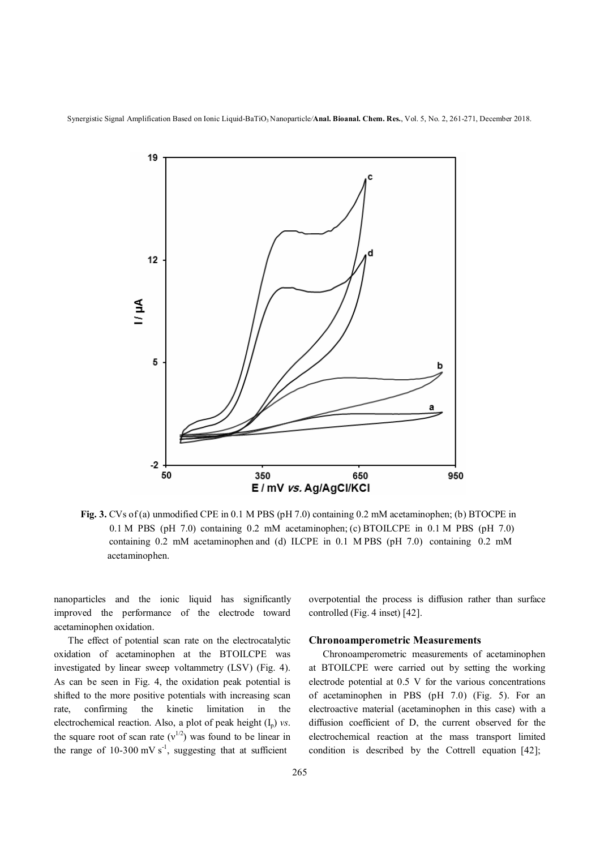Synergistic Signal Amplification Based on Ionic Liquid-BaTiO<sub>3</sub> Nanoparticle/**Anal. Bioanal. Chem. Res.**, Vol. 5, No. 2, 261-271, December 2018.



**Fig. 3.** CVs of (a) unmodified CPE in 0.1 M PBS (pH 7.0) containing 0.2 mM acetaminophen; (b) BTOCPE in 0.1 M PBS (pH 7.0) containing 0.2 mM acetaminophen; (c) BTOILCPE in 0.1 M PBS (pH 7.0) containing 0.2 mM acetaminophen and (d) ILCPE in 0.1 M PBS (pH 7.0) containing 0.2 mM acetaminophen.

nanoparticles and the ionic liquid has significantly improved the performance of the electrode toward acetaminophen oxidation.

 The effect of potential scan rate on the electrocatalytic oxidation of acetaminophen at the BTOILCPE was investigated by linear sweep voltammetry (LSV) (Fig. 4). As can be seen in Fig. 4, the oxidation peak potential is shifted to the more positive potentials with increasing scan rate, confirming the kinetic limitation in the electrochemical reaction. Also, a plot of peak height  $(I_p)$  *vs.* the square root of scan rate  $(v^{1/2})$  was found to be linear in the range of 10-300 mV  $s^{-1}$ , suggesting that at sufficient

overpotential the process is diffusion rather than surface controlled (Fig. 4 inset) [42].

#### **Chronoamperometric Measurements**

 Chronoamperometric measurements of acetaminophen at BTOILCPE were carried out by setting the working electrode potential at 0.5 V for the various concentrations of acetaminophen in PBS (pH 7.0) (Fig. 5). For an electroactive material (acetaminophen in this case) with a diffusion coefficient of D, the current observed for the electrochemical reaction at the mass transport limited condition is described by the Cottrell equation [42];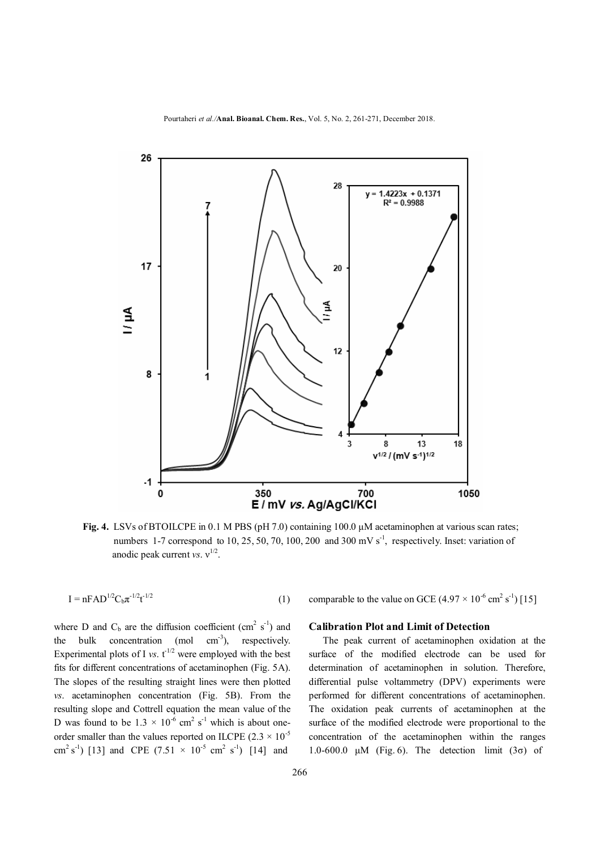

**Fig. 4.** LSVs of BTOILCPE in 0.1 M PBS (pH 7.0) containing 100.0 μM acetaminophen at various scan rates; numbers 1-7 correspond to 10, 25, 50, 70, 100, 200 and 300 mV  $s^{-1}$ , respectively. Inset: variation of anodic peak current *vs*.  $v^{1/2}$ .

$$
I = nFAD^{1/2}C_b\pi^{-1/2}t^{-1/2}
$$
 (1)

where D and  $C_b$  are the diffusion coefficient (cm<sup>2</sup> s<sup>-1</sup>) and the bulk concentration (mol  $cm^{-3}$ ), respectively. Experimental plots of I *vs*.  $t^{1/2}$  were employed with the best fits for different concentrations of acetaminophen (Fig. 5A). The slopes of the resulting straight lines were then plotted *vs*. acetaminophen concentration (Fig. 5B). From the resulting slope and Cottrell equation the mean value of the D was found to be  $1.3 \times 10^{-6}$  cm<sup>2</sup> s<sup>-1</sup> which is about oneorder smaller than the values reported on ILCPE (2.3  $\times$  10<sup>-5</sup> cm<sup>2</sup> s<sup>-1</sup>) [13] and CPE (7.51  $\times$  10<sup>-5</sup> cm<sup>2</sup> s<sup>-1</sup>) [14] and

comparable to the value on GCE  $(4.97 \times 10^{-6} \text{ cm}^2 \text{ s}^{-1})$  [15]

### **Calibration Plot and Limit of Detection**

 The peak current of acetaminophen oxidation at the surface of the modified electrode can be used for determination of acetaminophen in solution. Therefore, differential pulse voltammetry (DPV) experiments were performed for different concentrations of acetaminophen. The oxidation peak currents of acetaminophen at the surface of the modified electrode were proportional to the concentration of the acetaminophen within the ranges 1.0-600.0  $\mu$ M (Fig. 6). The detection limit (3 $\sigma$ ) of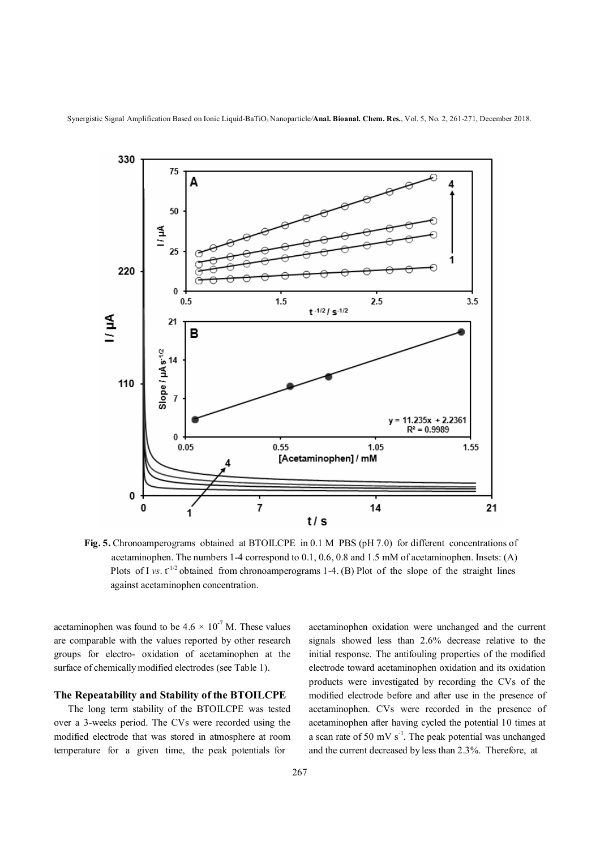

Synergistic Signal Amplification Based on Ionic Liquid-BaTiO<sub>3</sub> Nanoparticle/**Anal. Bioanal. Chem. Res.**, Vol. 5, No. 2, 261-271, December 2018.



**Fig. 5.** Chronoamperograms obtained at BTOILCPE in 0.1 M PBS (pH 7.0) for different concentrations of acetaminophen. The numbers 1-4 correspond to 0.1, 0.6, 0.8 and 1.5 mM of acetaminophen. Insets: (A) Plots of I *vs*. t<sup>-1/2</sup> obtained from chronoamperograms 1-4. (B) Plot of the slope of the straight lines against acetaminophen concentration.

acetaminophen was found to be  $4.6 \times 10^{-7}$  M. These values are comparable with the values reported by other research groups for electro- oxidation of acetaminophen at the surface of chemically modified electrodes (see Table 1).

### **The Repeatability and Stability of the BTOILCPE**

 The long term stability of the BTOILCPE was tested over a 3-weeks period. The CVs were recorded using the modified electrode that was stored in atmosphere at room temperature for a given time, the peak potentials for

acetaminophen oxidation were unchanged and the current signals showed less than 2.6% decrease relative to the initial response. The antifouling properties of the modified electrode toward acetaminophen oxidation and its oxidation products were investigated by recording the CVs of the modified electrode before and after use in the presence of acetaminophen. CVs were recorded in the presence of acetaminophen after having cycled the potential 10 times at a scan rate of 50 mV  $s^{-1}$ . The peak potential was unchanged and the current decreased by less than 2.3%. Therefore, at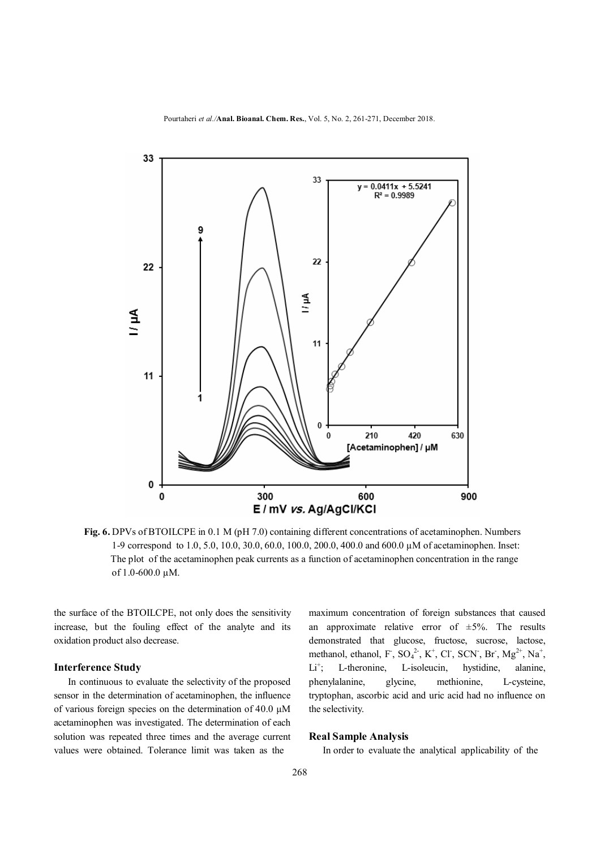

**Fig. 6.** DPVs of BTOILCPE in 0.1 M (pH 7.0) containing different concentrations of acetaminophen. Numbers 1-9 correspond to 1.0, 5.0, 10.0, 30.0, 60.0, 100.0, 200.0, 400.0 and 600.0 µM of acetaminophen. Inset: The plot of the acetaminophen peak currents as a function of acetaminophen concentration in the range of 1.0-600.0 µM.

the surface of the BTOILCPE, not only does the sensitivity increase, but the fouling effect of the analyte and its oxidation product also decrease.

#### **Interference Study**

 In continuous to evaluate the selectivity of the proposed sensor in the determination of acetaminophen, the influence of various foreign species on the determination of 40.0 μM acetaminophen was investigated. The determination of each solution was repeated three times and the average current values were obtained. Tolerance limit was taken as the

maximum concentration of foreign substances that caused an approximate relative error of  $\pm 5\%$ . The results demonstrated that glucose, fructose, sucrose, lactose, methanol, ethanol, F,  $SO_4^2$ , K<sup>+</sup>, Cl<sup>-</sup>, SCN<sup>-</sup>, Br<sup>-</sup>, Mg<sup>2+</sup>, Na<sup>+</sup>,  $Li^+$ ; L-theronine, L-isoleucin, hystidine, alanine, phenylalanine, glycine, methionine, L-cysteine, tryptophan, ascorbic acid and uric acid had no influence on the selectivity.

### **Real Sample Analysis**

In order to evaluate the analytical applicability of the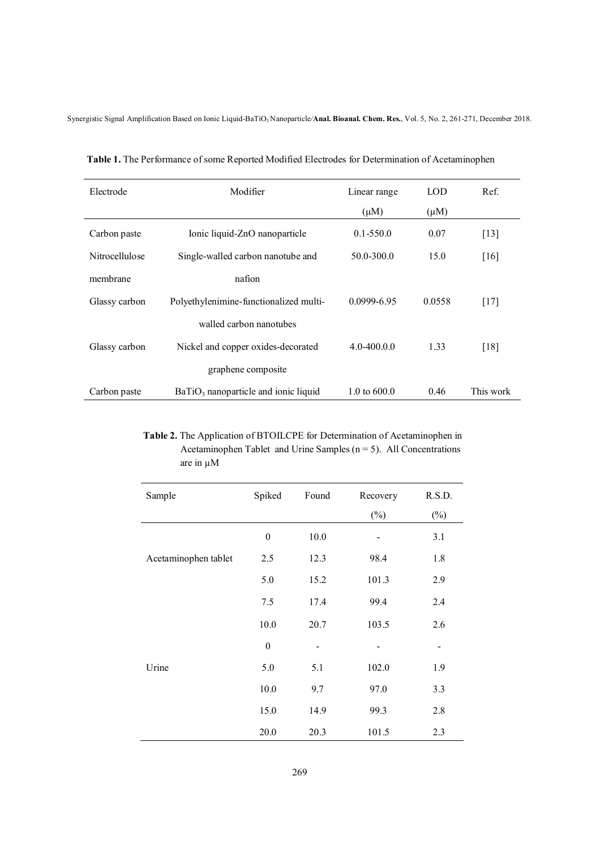Synergistic Signal Amplification Based on Ionic Liquid-BaTiO3 Nanoparticle*/***Anal. Bioanal. Chem. Res.**, Vol. 5, No. 2, 261-271, December 2018.

| Electrode      | Modifier                               | Linear range   | <b>LOD</b> | Ref.               |
|----------------|----------------------------------------|----------------|------------|--------------------|
|                |                                        | $(\mu M)$      | $(\mu M)$  |                    |
| Carbon paste   | Ionic liquid-ZnO nanoparticle          | $0.1 - 550.0$  | 0.07       | $\lceil 13 \rceil$ |
| Nitrocellulose | Single-walled carbon nanotube and      | 50.0-300.0     | 15.0       | [16]               |
| membrane       | nafion                                 |                |            |                    |
| Glassy carbon  | Polyethylenimine-functionalized multi- | 0.0999-6.95    | 0.0558     | $[17]$             |
|                | walled carbon nanotubes                |                |            |                    |
| Glassy carbon  | Nickel and copper oxides-decorated     | $4.0 - 400.00$ | 1.33       | [18]               |
|                | graphene composite                     |                |            |                    |
| Carbon paste   | $BaTiO3$ nanoparticle and ionic liquid | 1.0 to $600.0$ | 0.46       | This work          |

 **Table 1.** The Performance of some Reported Modified Electrodes for Determination of Acetaminophen

 **Table 2.** The Application of BTOILCPE for Determination of Acetaminophen in Acetaminophen Tablet and Urine Samples ( $n = 5$ ). All Concentrations are in µM

| Sample               | Spiked           | Found | Recovery | R.S.D. |
|----------------------|------------------|-------|----------|--------|
|                      |                  |       | $(\%)$   | $(\%)$ |
|                      | $\boldsymbol{0}$ | 10.0  |          | 3.1    |
| Acetaminophen tablet | 2.5              | 12.3  | 98.4     | 1.8    |
|                      | 5.0              | 15.2  | 101.3    | 2.9    |
|                      | 7.5              | 17.4  | 99.4     | 2.4    |
|                      | 10.0             | 20.7  | 103.5    | 2.6    |
|                      | $\boldsymbol{0}$ |       |          |        |
| Urine                | 5.0              | 5.1   | 102.0    | 1.9    |
|                      | 10.0             | 9.7   | 97.0     | 3.3    |
|                      | 15.0             | 14.9  | 99.3     | 2.8    |
|                      | 20.0             | 20.3  | 101.5    | 2.3    |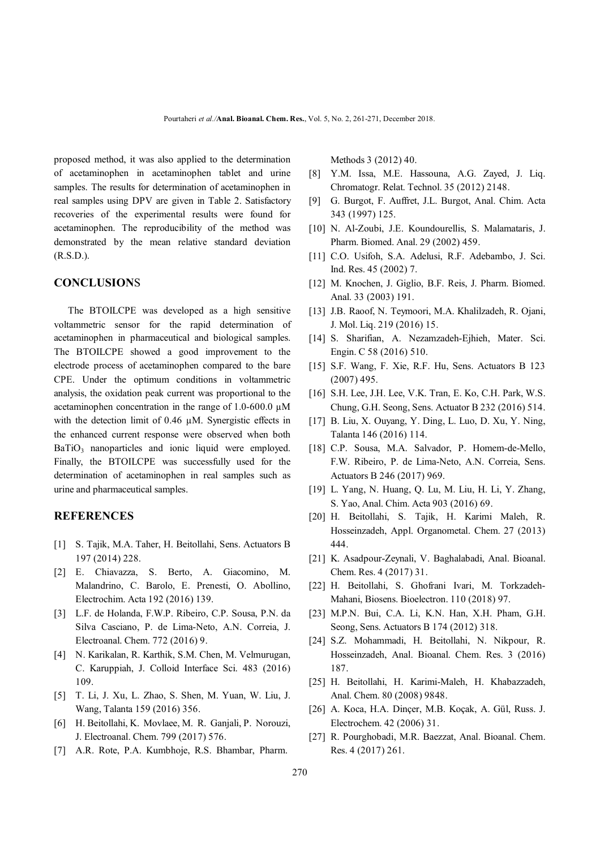proposed method, it was also applied to the determination of acetaminophen in acetaminophen tablet and urine samples. The results for determination of acetaminophen in real samples using DPV are given in Table 2. Satisfactory recoveries of the experimental results were found for acetaminophen. The reproducibility of the method was demonstrated by the mean relative standard deviation (R.S.D.).

### **CONCLUSION**S

 The BTOILCPE was developed as a high sensitive voltammetric sensor for the rapid determination of acetaminophen in pharmaceutical and biological samples. The BTOILCPE showed a good improvement to the electrode process of acetaminophen compared to the bare CPE. Under the optimum conditions in voltammetric analysis, the oxidation peak current was proportional to the acetaminophen concentration in the range of  $1.0\text{-}600.0 \mu\text{M}$ with the detection limit of 0.46  $\mu$ M. Synergistic effects in the enhanced current response were observed when both BaTiO<sub>3</sub> nanoparticles and ionic liquid were employed. Finally, the BTOILCPE was successfully used for the determination of acetaminophen in real samples such as urine and pharmaceutical samples.

## **REFERENCES**

- [1] S. Tajik, M.A. Taher, H. Beitollahi, Sens. Actuators B 197 (2014) 228.
- [2] E. Chiavazza, S. Berto, A. Giacomino, M. Malandrino, C. Barolo, E. Prenesti, O. Abollino, Electrochim. Acta 192 (2016) 139.
- [3] L.F. de Holanda, F.W.P. Ribeiro, C.P. Sousa, P.N. da Silva Casciano, P. de Lima-Neto, A.N. Correia, J. Electroanal. Chem. 772 (2016) 9.
- [4] N. Karikalan, R. Karthik, S.M. Chen, M. Velmurugan, C. Karuppiah, J. Colloid Interface Sci. 483 (2016) 109.
- [5] T. Li, J. Xu, L. Zhao, S. Shen, M. Yuan, W. Liu, J. Wang, Talanta 159 (2016) 356.
- [6] H. Beitollahi, K. Movlaee, M. R. Ganjali, P. Norouzi, J. Electroanal. Chem. 799 (2017) 576.
- [7] A.R. Rote, P.A. Kumbhoje, R.S. Bhambar, Pharm.

Methods 3 (2012) 40.

- [8] Y.M. Issa, M.E. Hassouna, A.G. Zayed, J. Liq. Chromatogr. Relat. Technol. 35 (2012) 2148.
- [9] G. Burgot, F. Auffret, J.L. Burgot, Anal. Chim. Acta 343 (1997) 125.
- [10] N. Al-Zoubi, J.E. Koundourellis, S. Malamataris, J. Pharm. Biomed. Anal. 29 (2002) 459.
- [11] C.O. Usifoh, S.A. Adelusi, R.F. Adebambo, J. Sci. Ind. Res. 45 (2002) 7.
- [12] M. Knochen, J. Giglio, B.F. Reis, J. Pharm. Biomed. Anal. 33 (2003) 191.
- [13] J.B. Raoof, N. Teymoori, M.A. Khalilzadeh, R. Ojani, J. Mol. Liq. 219 (2016) 15.
- [14] S. Sharifian, A. Nezamzadeh-Ejhieh, Mater. Sci. Engin. C 58 (2016) 510.
- [15] S.F. Wang, F. Xie, R.F. Hu, Sens. Actuators B 123 (2007) 495.
- [16] S.H. Lee, J.H. Lee, V.K. Tran, E. Ko, C.H. Park, W.S. Chung, G.H. Seong, Sens. Actuator B 232 (2016) 514.
- [17] B. Liu, X. Ouyang, Y. Ding, L. Luo, D. Xu, Y. Ning, Talanta 146 (2016) 114.
- [18] C.P. Sousa, M.A. Salvador, P. Homem-de-Mello, F.W. Ribeiro, P. de Lima-Neto, A.N. Correia, Sens. Actuators B 246 (2017) 969.
- [19] L. Yang, N. Huang, Q. Lu, M. Liu, H. Li, Y. Zhang, S. Yao, Anal. Chim. Acta 903 (2016) 69.
- [20] H. Beitollahi, S. Tajik, H. Karimi Maleh, R. Hosseinzadeh, Appl. Organometal. Chem. 27 (2013) 444.
- [21] K. Asadpour-Zeynali, V. Baghalabadi, Anal. Bioanal. Chem. Res. 4 (2017) 31.
- [22] H. Beitollahi, S. Ghofrani Ivari, M. Torkzadeh-Mahani, Biosens. Bioelectron. 110 (2018) 97.
- [23] M.P.N. Bui, C.A. Li, K.N. Han, X.H. Pham, G.H. Seong, Sens. Actuators B 174 (2012) 318.
- [24] S.Z. Mohammadi, H. Beitollahi, N. Nikpour, R. Hosseinzadeh, Anal. Bioanal. Chem. Res. 3 (2016) 187.
- [25] H. Beitollahi, H. Karimi-Maleh, H. Khabazzadeh, Anal. Chem. 80 (2008) 9848.
- [26] A. Koca, H.A. Dinçer, M.B. Koçak, A. Gül, Russ. J. Electrochem. 42 (2006) 31.
- [27] R. Pourghobadi, M.R. Baezzat, Anal. Bioanal. Chem. Res. 4 (2017) 261.